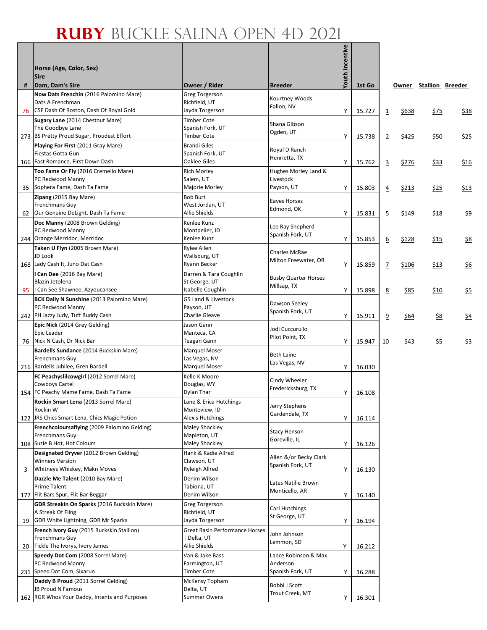## **Ruby** Buckle Salina Open 4D 2021

|    | Horse (Age, Color, Sex)<br><b>Sire</b>                                                             |                                                       |                                            | Youth Incentive |        |                |       |             |                        |
|----|----------------------------------------------------------------------------------------------------|-------------------------------------------------------|--------------------------------------------|-----------------|--------|----------------|-------|-------------|------------------------|
| #  | Dam, Dam's Sire                                                                                    | Owner / Rider                                         | Breeder                                    |                 | 1st Go |                |       |             | Owner Stallion Breeder |
|    | Now Dats Frenchin (2016 Palomino Mare)<br>Dats A Frenchman                                         | Greg Torgerson<br>Richfield, UT                       | Kourtney Woods<br>Fallon, NV               |                 |        |                |       |             |                        |
|    | 76 CSE Dash Of Boston, Dash Of Royal Gold                                                          | Jayda Torgerson                                       |                                            | Υ               | 15.727 | $\overline{1}$ | \$638 | \$75        | <u>\$38</u>            |
|    | Sugary Lane (2014 Chestnut Mare)<br>The Goodbye Lane<br>273 BS Pretty Proud Sugar, Proudest Effort | <b>Timber Cote</b><br>Spanish Fork, UT<br>Timber Cote | Shana Gibson<br>Ogden, UT                  | Υ               | 15.738 | $\overline{2}$ | \$425 | \$50        | \$25                   |
|    | Playing For First (2011 Gray Mare)                                                                 | <b>Brandi Giles</b>                                   |                                            |                 |        |                |       |             |                        |
|    | Fiestas Gotta Gun                                                                                  | Spanish Fork, UT                                      | Royal D Ranch<br>Henrietta, TX             |                 |        |                |       |             |                        |
|    | 166 Fast Romance, First Down Dash                                                                  | Oaklee Giles                                          |                                            | Y.              | 15.762 | $\overline{3}$ | \$276 | \$33        | \$16                   |
|    | Too Fame Or Fly (2016 Cremello Mare)<br>PC Redwood Manny                                           | <b>Rich Morley</b><br>Salem, UT                       | Hughes Morley Land &<br>Livestock          |                 |        |                |       |             |                        |
|    | 35 Sophera Fame, Dash Ta Fame                                                                      | Majorie Morley                                        | Payson, UT                                 | Υ               | 15.803 | $\overline{4}$ | \$213 | \$25        | \$13                   |
|    | Zipang (2015 Bay Mare)                                                                             | Bob Burt                                              |                                            |                 |        |                |       |             |                        |
|    | Frenchmans Guy                                                                                     | West Jordan, UT                                       | Eaves Horses<br>Edmond, OK                 |                 |        |                |       |             |                        |
|    | 62 Our Genuine DeLight, Dash Ta Fame                                                               | Allie Shields                                         |                                            | Υ               | 15.831 | $\overline{5}$ | \$149 | <u>\$18</u> | <u>\$9</u>             |
|    | Doc Manny (2008 Brown Gelding)<br>PC Redwood Manny                                                 | Kenlee Kunz<br>Montpelier, ID                         | Lee Ray Shepherd                           |                 |        |                |       |             |                        |
|    | 244 Orange Merridoc, Merridoc                                                                      | Kenlee Kunz                                           | Spanish Fork, UT                           | Υ               | 15.853 | 6              | \$128 | <u>\$15</u> | <u>\$8</u>             |
|    | Taken U Flyn (2005 Brown Mare)                                                                     | Rylee Allen                                           |                                            |                 |        |                |       |             |                        |
|    | JD Look                                                                                            | Wallsburg, UT                                         | Charles McRae<br>Milton Freewater, OR      |                 |        |                |       |             |                        |
|    | 168 Lady Cash It, Juno Dat Cash                                                                    | Ryann Becker                                          |                                            | Υ               | 15.859 | $\overline{1}$ | \$106 | <u>\$13</u> | $\frac{6}{56}$         |
|    | I Can Dee (2016 Bay Mare)                                                                          | Darren & Tara Coughlin                                | <b>Busby Quarter Horses</b>                |                 |        |                |       |             |                        |
| 95 | Blazin Jetolena<br>I Can See Shawnee, Azyoucansee                                                  | St George, UT<br>Isabelle Coughlin                    | Millsap, TX                                | Υ               | 15.898 | 8              | \$85  | \$10        | $\frac{55}{25}$        |
|    | BCK Dally N Sunshine (2013 Palomino Mare)                                                          | G5 Land & Livestock                                   |                                            |                 |        |                |       |             |                        |
|    | PC Redwood Manny                                                                                   | Payson, UT                                            | Dawson Seeley                              |                 |        |                |       |             |                        |
|    | 242 PH Jazzy Judy, Tuff Buddy Cash                                                                 | Charlie Gleave                                        | Spanish Fork, UT                           | Υ               | 15.911 | 9              | \$64  | \$8         | \$4                    |
|    | Epic Nick (2014 Grey Gelding)                                                                      | Jason Gann                                            | Jodi Cuccurullo                            |                 |        |                |       |             |                        |
|    | Epic Leader<br>76 Nick N Cash, Dr Nick Bar                                                         | Manteca, CA<br>Teagan Gann                            | Pilot Point, TX                            | Υ               | 15.947 | 10             | \$43  | \$5         | \$3                    |
|    | Bardells Sundance (2014 Buckskin Mare)                                                             | Marquel Moser                                         |                                            |                 |        |                |       |             |                        |
|    | Frenchmans Guy                                                                                     | Las Vegas, NV                                         | Beth Laine<br>Las Vegas, NV                |                 |        |                |       |             |                        |
|    | 216 Bardells Jubilee, Gren Bardell                                                                 | Marquel Moser                                         |                                            | Υ               | 16.030 |                |       |             |                        |
|    | FC Peachyslilcowgirl (2012 Sorrel Mare)                                                            | Kelle K Moore                                         | Cindy Wheeler                              |                 |        |                |       |             |                        |
|    | Cowboys Cartel<br>154 FC Peachy Mame Fame, Dash Ta Fame                                            | Douglas, WY<br>Dylan Thar                             | Fredericksburg, TX                         | Υ               | 16.108 |                |       |             |                        |
|    | Rockin Smart Lena (2013 Sorrel Mare)                                                               | Lane & Erica Hutchings                                |                                            |                 |        |                |       |             |                        |
|    | Rockin W                                                                                           | Monteview, ID                                         | Jerry Stephens<br>Gardendale, TX           |                 |        |                |       |             |                        |
|    | 122 JRS Chics Smart Lena, Chics Magic Potion                                                       | <b>Alexis Hutchings</b>                               |                                            | Υ               | 16.114 |                |       |             |                        |
|    | Frenchcoloursaflying (2009 Palomino Gelding)<br>Frenchmans Guy                                     | Maley Shockley<br>Mapleton, UT                        | <b>Stacy Henson</b>                        |                 |        |                |       |             |                        |
|    | 108 Suzie B Hot, Hot Colours                                                                       | <b>Maley Shockley</b>                                 | Goreville, IL                              | Υ               | 16.126 |                |       |             |                        |
|    | Designated Dryver (2012 Brown Gelding)                                                             | Hank & Kadie Allred                                   |                                            |                 |        |                |       |             |                        |
|    | <b>Winners Version</b>                                                                             | Clawson, UT                                           | Allen &/or Becky Clark<br>Spanish Fork, UT |                 |        |                |       |             |                        |
| 3  | Whitneys Whiskey, Makn Moves                                                                       | Ryleigh Allred                                        |                                            | Υ               | 16.130 |                |       |             |                        |
|    | Dazzle Me Talent (2010 Bay Mare)<br><b>Prime Talent</b>                                            | Denim Wilson                                          | Lates Natilie Brown                        |                 |        |                |       |             |                        |
|    | 177 Flit Bars Spur, Flit Bar Beggar                                                                | Tabiona, UT<br>Denim Wilson                           | Monticello, AR                             | Υ               | 16.140 |                |       |             |                        |
|    | <b>GDR Streakin On Sparks (2016 Buckskin Mare)</b>                                                 | Greg Torgerson                                        |                                            |                 |        |                |       |             |                        |
|    | A Streak Of Fling                                                                                  | Richfield, UT                                         | Carl Hutchings<br>St George, UT            |                 |        |                |       |             |                        |
|    | 19 GDR White Lightning, GDR Mr Sparks                                                              | Jayda Torgerson                                       |                                            | Υ               | 16.194 |                |       |             |                        |
|    | French Ivory Guy (2015 Buckskin Stallion)                                                          | Great Basin Performance Horses                        | John Johnson                               |                 |        |                |       |             |                        |
|    | Frenchmans Guy<br>20 Tickle The Ivorys, Ivory James                                                | Delta, UT<br>Allie Shields                            | Lemmon, SD                                 | Υ               | 16.212 |                |       |             |                        |
|    | Speedy Dot Com (2008 Sorrel Mare)                                                                  | Van & Jake Bass                                       | Lance Robinson & Max                       |                 |        |                |       |             |                        |
|    | PC Redwood Manny                                                                                   | Farmington, UT                                        | Anderson                                   |                 |        |                |       |             |                        |
|    | 231 Speed Dot Com, Sixarun                                                                         | Timber Cote                                           | Spanish Fork, UT                           | Υ               | 16.288 |                |       |             |                        |
|    | Daddy B Proud (2011 Sorrel Gelding)<br>JB Proud N Famous                                           | McKensy Topham<br>Delta, UT                           | Bobbi J Scott                              |                 |        |                |       |             |                        |
|    | 162 RGR Whos Your Daddy, Intents and Purposes                                                      | <b>Summer Owens</b>                                   | Trout Creek, MT                            | Υ               | 16.301 |                |       |             |                        |
|    |                                                                                                    |                                                       |                                            |                 |        |                |       |             |                        |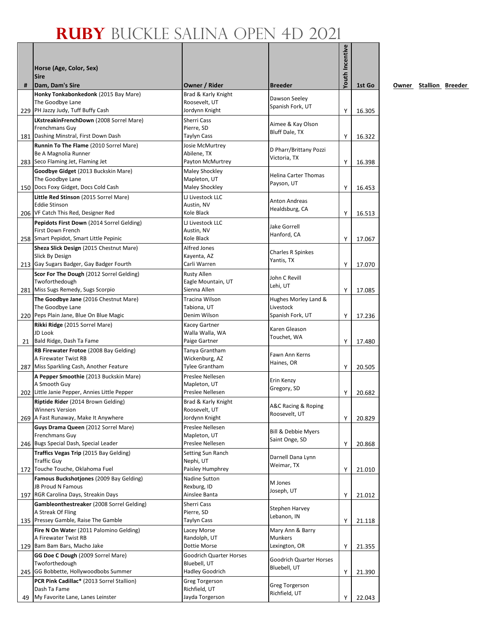## **Ruby** Buckle Salina Open 4D 2021

| #    | Horse (Age, Color, Sex)<br><b>Sire</b><br>Dam, Dam's Sire      | Owner / Rider                           | <b>Breeder</b>                                 | Youth Incentive | 1st Go |
|------|----------------------------------------------------------------|-----------------------------------------|------------------------------------------------|-----------------|--------|
|      | Honky Tonkabonkedonk (2015 Bay Mare)                           | Brad & Karly Knight                     |                                                |                 |        |
|      | The Goodbye Lane<br>229 PH Jazzy Judy, Tuff Buffy Cash         | Roosevelt, UT<br>Jordynn Knight         | Dawson Seeley<br>Spanish Fork, UT              | Y               | 16.305 |
|      | LKstreakinFrenchDown (2008 Sorrel Mare)                        | <b>Sherri Cass</b>                      |                                                |                 |        |
|      | Frenchmans Guy<br>Dashing Minstral, First Down Dash            | Pierre, SD<br><b>Taylyn Cass</b>        | Aimee & Kay Olson<br><b>Bluff Dale, TX</b>     |                 |        |
| 181  | Runnin To The Flame (2010 Sorrel Mare)                         | Josie McMurtrey                         |                                                | Y               | 16.322 |
|      | Be A Magnolia Runner                                           | Abilene, TX                             | D Pharr/Brittany Pozzi                         |                 |        |
|      | 283 Seco Flaming Jet, Flaming Jet                              | Payton McMurtrey                        | Victoria, TX                                   | Y               | 16.398 |
|      | Goodbye Gidget (2013 Buckskin Mare)                            | Maley Shockley                          |                                                |                 |        |
|      | The Goodbye Lane                                               | Mapleton, UT                            | Helina Carter Thomas<br>Payson, UT             |                 |        |
|      | 150 Docs Foxy Gidget, Docs Cold Cash                           | Maley Shockley                          |                                                | Y               | 16.453 |
|      | Little Red Stinson (2015 Sorrel Mare)                          | LJ Livestock LLC                        | Anton Andreas                                  |                 |        |
|      | <b>Eddie Stinson</b>                                           | Austin, NV                              | Healdsburg, CA                                 |                 |        |
|      | 206 VF Catch This Red, Designer Red                            | Kole Black                              |                                                | Y               | 16.513 |
|      | Pepidots First Down (2014 Sorrel Gelding)<br>First Down French | LJ Livestock LLC<br>Austin, NV          | Jake Gorrell                                   |                 |        |
|      | 258 Smart Pepidot, Smart Little Pepinic                        | Kole Black                              | Hanford, CA                                    | Υ               | 17.067 |
|      | Sheza Slick Design (2015 Chestnut Mare)                        | Alfred Jones                            |                                                |                 |        |
|      | Slick By Design                                                | Kayenta, AZ                             | <b>Charles R Spinkes</b>                       |                 |        |
| 213  | Gay Sugars Badger, Gay Badger Fourth                           | Carli Warren                            | Yantis, TX                                     | Υ               | 17.070 |
|      | Scor For The Dough (2012 Sorrel Gelding)                       | <b>Rusty Allen</b>                      | John C Revill                                  |                 |        |
|      | Twoforthedough                                                 | Eagle Mountain, UT                      | Lehi, UT                                       |                 |        |
|      | 281 Miss Sugs Remedy, Sugs Scorpio                             | Sienna Allen                            |                                                | Y               | 17.085 |
|      | The Goodbye Jane (2016 Chestnut Mare)                          | <b>Tracina Wilson</b>                   | Hughes Morley Land &                           |                 |        |
|      | The Goodbye Lane                                               | Tabiona, UT                             | Livestock                                      |                 |        |
|      | 220 Peps Plain Jane, Blue On Blue Magic                        | Denim Wilson                            | Spanish Fork, UT                               | Y               | 17.236 |
|      | Rikki Ridge (2015 Sorrel Mare)<br>JD Look                      | <b>Kacey Gartner</b><br>Walla Walla, WA | Karen Gleason                                  |                 |        |
| 21   | Bald Ridge, Dash Ta Fame                                       | Paige Gartner                           | Touchet, WA                                    | Y               | 17.480 |
|      | RB Firewater Frotoe (2008 Bay Gelding)                         | Tanya Grantham                          |                                                |                 |        |
|      | A Firewater Twist RB                                           | Wickenburg, AZ                          | Fawn Ann Kerns                                 |                 |        |
|      | 287 Miss Sparkling Cash, Another Feature                       | <b>Tylee Grantham</b>                   | Haines, OR                                     | Υ               | 20.505 |
|      | A Pepper Smoothie (2013 Buckskin Mare)                         | Preslee Nellesen                        | Erin Kenzy                                     |                 |        |
|      | A Smooth Guy                                                   | Mapleton, UT                            | Gregory, SD                                    |                 |        |
| 2021 | Little Janie Pepper, Annies Little Pepper                      | Preslee Nellesen                        |                                                | Y               | 20.682 |
|      | Riptide Rider (2014 Brown Gelding)                             | Brad & Karly Knight                     | A&C Racing & Roping                            |                 |        |
|      | <b>Winners Version</b><br>269 A Fast Runaway, Make It Anywhere | Roosevelt. UT<br>Jordynn Knight         | Roosevelt, UT                                  | Υ               |        |
|      | Guys Drama Queen (2012 Sorrel Mare)                            | Preslee Nellesen                        |                                                |                 | 20.829 |
|      | Frenchmans Guy                                                 | Mapleton, UT                            | Bill & Debbie Myers                            |                 |        |
|      | 246 Bugs Special Dash, Special Leader                          | Preslee Nellesen                        | Saint Onge, SD                                 | Υ               | 20.868 |
|      | Traffics Vegas Trip (2015 Bay Gelding)                         | Setting Sun Ranch                       |                                                |                 |        |
|      | <b>Traffic Guy</b>                                             | Nephi, UT                               | Darnell Dana Lynn<br>Weimar, TX                |                 |        |
| 1721 | Touche Touche, Oklahoma Fuel                                   | Paisley Humphrey                        |                                                | Υ               | 21.010 |
|      | Famous Buckshotjones (2009 Bay Gelding)                        | Nadine Sutton                           | M Jones                                        |                 |        |
|      | <b>JB Proud N Famous</b>                                       | Rexburg, ID                             | Joseph, UT                                     |                 |        |
| 1971 | RGR Carolina Days, Streakin Days                               | Ainslee Banta                           |                                                | Υ               | 21.012 |
|      | Gambleonthestreaker (2008 Sorrel Gelding)<br>A Streak Of Fling | Sherri Cass<br>Pierre, SD               | Stephen Harvey                                 |                 |        |
|      | 135 Pressey Gamble, Raise The Gamble                           | <b>Taylyn Cass</b>                      | Lebanon, IN                                    | Y               | 21.118 |
|      | Fire N On Water (2011 Palomino Gelding)                        | Lacey Morse                             | Mary Ann & Barry                               |                 |        |
|      | A Firewater Twist RB                                           | Randolph, UT                            | Munkers                                        |                 |        |
| 129  | Bam Bam Bars, Macho Jake                                       | Dottie Morse                            | Lexington, OR                                  | Υ               | 21.355 |
|      | GG Doe C Dough (2009 Sorrel Mare)                              | Goodrich Quarter Horses                 |                                                |                 |        |
|      | Twoforthedough                                                 | Bluebell, UT                            | <b>Goodrich Quarter Horses</b><br>Bluebell, UT |                 |        |
| 245  | GG Bobbette, Hollywoodbobs Summer                              | <b>Hadley Goodrich</b>                  |                                                | Υ               | 21.390 |
|      | PCR Pink Cadillac* (2013 Sorrel Stallion)                      | Greg Torgerson                          | Greg Torgerson                                 |                 |        |
|      | Dash Ta Fame                                                   | Richfield, UT                           | Richfield, UT                                  |                 |        |
| 49   | My Favorite Lane, Lanes Leinster                               | Jayda Torgerson                         |                                                | Υ               | 22.043 |

**<u>Owner</u>** Stallion Breeder